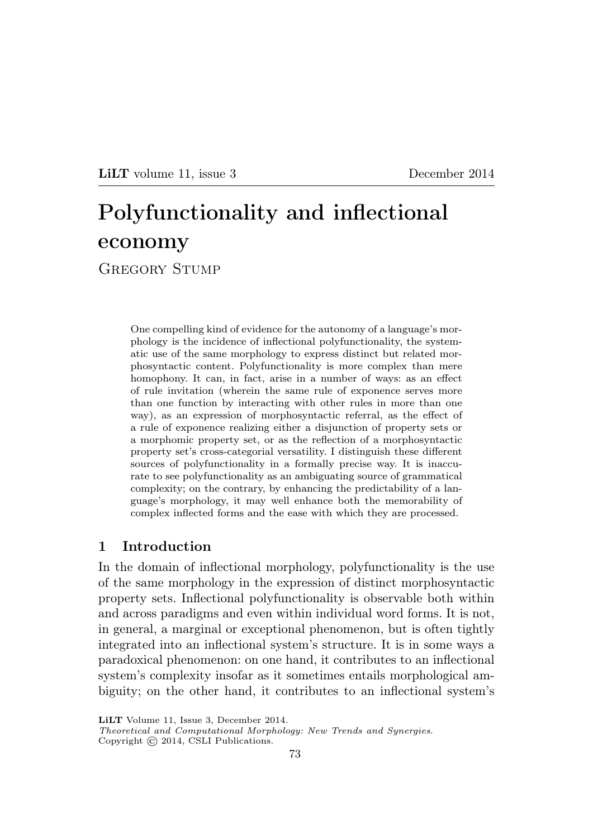LILT volume 11, issue 3 December 2014

# Polyfunctionality and inflectional economy

GREGORY STUMP

One compelling kind of evidence for the autonomy of a language's morphology is the incidence of inflectional polyfunctionality, the systematic use of the same morphology to express distinct but related morphosyntactic content. Polyfunctionality is more complex than mere homophony. It can, in fact, arise in a number of ways: as an effect of rule invitation (wherein the same rule of exponence serves more than one function by interacting with other rules in more than one way), as an expression of morphosyntactic referral, as the effect of a rule of exponence realizing either a disjunction of property sets or a morphomic property set, or as the reflection of a morphosyntactic property set's cross-categorial versatility. I distinguish these different sources of polyfunctionality in a formally precise way. It is inaccurate to see polyfunctionality as an ambiguating source of grammatical complexity; on the contrary, by enhancing the predictability of a language's morphology, it may well enhance both the memorability of complex inflected forms and the ease with which they are processed.

## 1 Introduction

In the domain of inflectional morphology, polyfunctionality is the use of the same morphology in the expression of distinct morphosyntactic property sets. Inflectional polyfunctionality is observable both within and across paradigms and even within individual word forms. It is not, in general, a marginal or exceptional phenomenon, but is often tightly integrated into an inflectional system's structure. It is in some ways a paradoxical phenomenon: on one hand, it contributes to an inflectional system's complexity insofar as it sometimes entails morphological ambiguity; on the other hand, it contributes to an inflectional system's

LiLT Volume 11, Issue 3, December 2014.

Theoretical and Computational Morphology: New Trends and Synergies. Copyright  $\odot$  2014, CSLI Publications.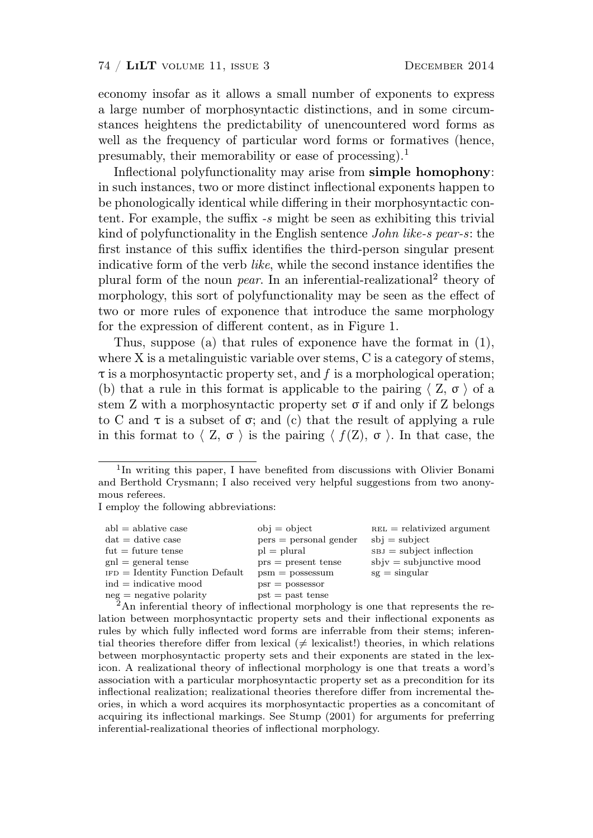economy insofar as it allows a small number of exponents to express a large number of morphosyntactic distinctions, and in some circumstances heightens the predictability of unencountered word forms as well as the frequency of particular word forms or formatives (hence, presumably, their memorability or ease of processing).<sup>1</sup>

Inflectional polyfunctionality may arise from simple homophony: in such instances, two or more distinct inflectional exponents happen to be phonologically identical while differing in their morphosyntactic content. For example, the suffix -s might be seen as exhibiting this trivial kind of polyfunctionality in the English sentence John like-s pear-s: the first instance of this suffix identifies the third-person singular present indicative form of the verb like, while the second instance identifies the plural form of the noun *pear*. In an inferential-realizational<sup>2</sup> theory of morphology, this sort of polyfunctionality may be seen as the effect of two or more rules of exponence that introduce the same morphology for the expression of different content, as in Figure 1.

Thus, suppose (a) that rules of exponence have the format in (1), where X is a metalinguistic variable over stems, C is a category of stems,  $\tau$  is a morphosyntactic property set, and f is a morphological operation; (b) that a rule in this format is applicable to the pairing  $\langle Z, \sigma \rangle$  of a stem Z with a morphosyntactic property set  $\sigma$  if and only if Z belongs to C and  $\tau$  is a subset of  $\sigma$ ; and (c) that the result of applying a rule in this format to  $\langle Z, \sigma \rangle$  is the pairing  $\langle f(Z), \sigma \rangle$ . In that case, the

I employ the following abbreviations:

| $ab = ab$ ability case                                                                    | $obj = object$           | $REL = relativized argument$  |
|-------------------------------------------------------------------------------------------|--------------------------|-------------------------------|
| $dat = dative case$                                                                       | $pers = personal gender$ | $sbi = subject$               |
| $fut = future tense$                                                                      | $pl = plural$            | $s_{BJ} =$ subject inflection |
| $\text{gnl} = \text{general}$ tense                                                       | $prs = present$ tense    | $s$ bj $v =$ subjunctive mood |
| $_{\text{IFD}} =$ Identity Function Default                                               | $psm = possessum$        | $sg = singular$               |
| $ind = indicateive$ mood                                                                  | $psr =$ possessor        |                               |
| $neg = negative$ polarity                                                                 | $pst = past$ tense       |                               |
| $2\Lambda$ p information theory of inflastional mamphology is one that represents the re- |                          |                               |

<sup>2</sup>An inferential theory of inflectional morphology is one that represents the relation between morphosyntactic property sets and their inflectional exponents as rules by which fully inflected word forms are inferrable from their stems; inferential theories therefore differ from lexical ( $\neq$  lexicalist!) theories, in which relations between morphosyntactic property sets and their exponents are stated in the lexicon. A realizational theory of inflectional morphology is one that treats a word's association with a particular morphosyntactic property set as a precondition for its inflectional realization; realizational theories therefore differ from incremental theories, in which a word acquires its morphosyntactic properties as a concomitant of acquiring its inflectional markings. See Stump (2001) for arguments for preferring inferential-realizational theories of inflectional morphology.

<sup>&</sup>lt;sup>1</sup>In writing this paper, I have benefited from discussions with Olivier Bonami and Berthold Crysmann; I also received very helpful suggestions from two anonymous referees.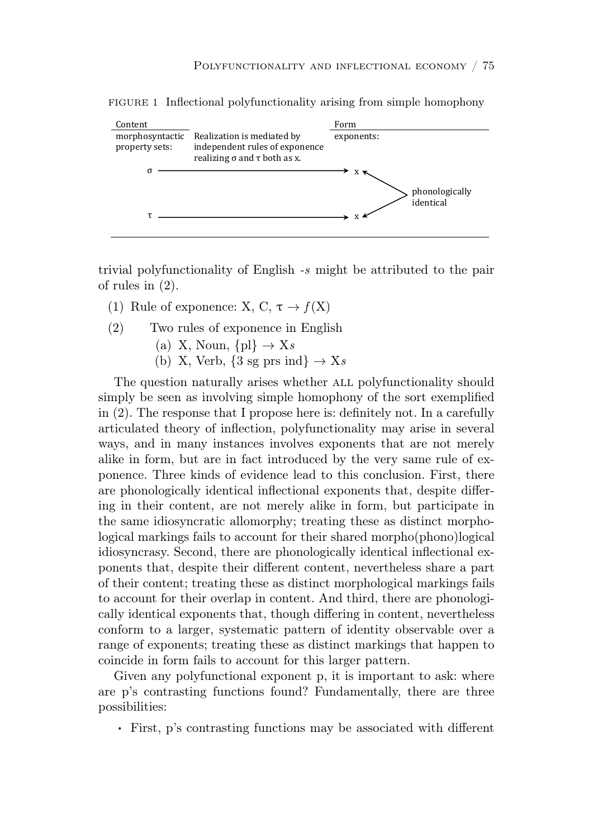

FIGURE 1 Inflectional polyfunctionality arising from simple homophony

rivial polyfunctionality of English e might be attributed to the pair *folyofunctionality* of English -s might be attributed to the pair of rules in  $(2)$ .

- $(1)$  **D**, 1 **c**<sup> $f(\mathbf{Y})$ </sup> (1) Rule of exponence: X, C,  $\tau \to f(X)$
- (2) Two rules of exponence in English
- (a) X, Noun,  $\{pl\} \rightarrow Xs$ 
	- (b) X, Verb,  $\{3 \text{ sg prs ind}\} \rightarrow \text{Xs}$

σε διάδει της σε διάδει της σε διάδει της σε διάδει της σε διάδει της σε διάδει της σε διάδει της σε διάδει της<br>Γεγονότα simply be seen as involving simple homophony of the sort exemplified  $\mu$ ,  $\sigma$ in (2). The response that I propose here is: definitely not. In a carefully ǡǡ articulated theory of inflection, polyfunctionality may arise in several retro and in many instances involves expanding that are not movely ways, and in many instances involves exponents that are not merely ǡǡ alike in form, but are in fact introduced by the very same rule of exponence. Three kinds of evidence lead to this conclusion. First, there  $\frac{1}{1}$   $\frac{1}{1}$   $\frac{1}{1}$   $\frac{1}{1}$   $\frac{1}{1}$   $\frac{1}{1}$   $\frac{1}{1}$   $\frac{1}{1}$   $\frac{1}{1}$   $\frac{1}{1}$   $\frac{1}{1}$   $\frac{1}{1}$   $\frac{1}{1}$   $\frac{1}{1}$   $\frac{1}{1}$   $\frac{1}{1}$   $\frac{1}{1}$   $\frac{1}{1}$   $\frac{1}{1}$   $\frac{1}{1}$   $\frac{1}{1}$   $\frac{1}{1}$  are phonologically identical inflectional exponents that, despite differing in their content, are not merely alike in form, but participate in <u>some</u> ideographic allomorphy treating these as distinct me the same idiosyncratic allomorphy; treating these as distinct morphological markings fails to account for their shared morpho(phono)logical idiosyncrasy. Second, there are phonologically identical inflectional exponents that, despite their different content, nevertheless share a part f their content, treating these equipment more of their content; treating these as distinct morphological markings fails to account for their overlap in content. And third, there are phonologically identical exponents that, though differing in content, nevertheless ǯ conform to a larger, systematic pattern of identity observable over a range of exponents; treating these as distinct markings that happen to coincide in form fails to account for this larger pattern.  $\frac{1}{\sqrt{2}}$ The question naturally arises whether ALL polyfunctionality should

Given any polyfunctional exponent p, it is important to ask: where are p's contrasting functions found? Fundamentally, there are three possibilities:

. First, p's contrasting functions may be associated with different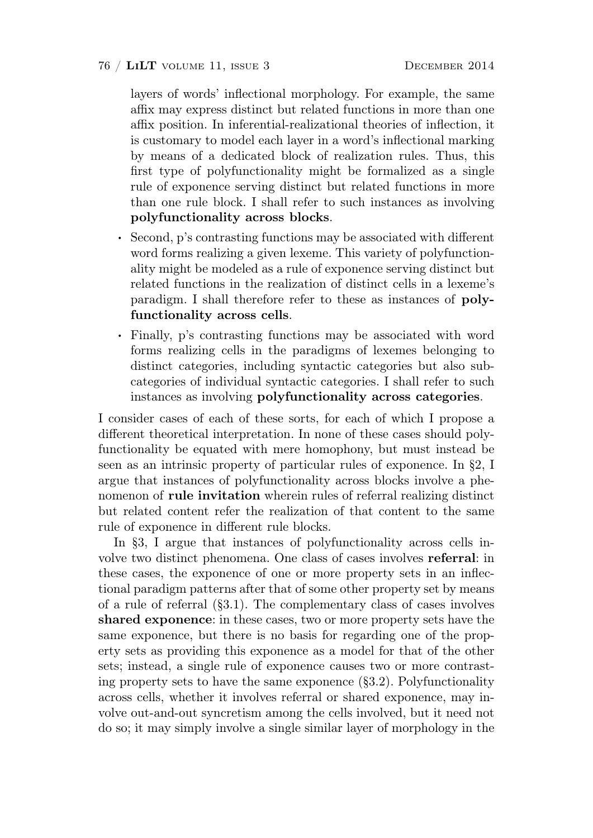layers of words' inflectional morphology. For example, the same affix may express distinct but related functions in more than one affix position. In inferential-realizational theories of inflection, it is customary to model each layer in a word's inflectional marking by means of a dedicated block of realization rules. Thus, this first type of polyfunctionality might be formalized as a single rule of exponence serving distinct but related functions in more than one rule block. I shall refer to such instances as involving polyfunctionality across blocks.

- . Second, p's contrasting functions may be associated with different word forms realizing a given lexeme. This variety of polyfunctionality might be modeled as a rule of exponence serving distinct but related functions in the realization of distinct cells in a lexeme's paradigm. I shall therefore refer to these as instances of polyfunctionality across cells.
- . Finally, p's contrasting functions may be associated with word forms realizing cells in the paradigms of lexemes belonging to distinct categories, including syntactic categories but also subcategories of individual syntactic categories. I shall refer to such instances as involving polyfunctionality across categories.

I consider cases of each of these sorts, for each of which I propose a different theoretical interpretation. In none of these cases should polyfunctionality be equated with mere homophony, but must instead be seen as an intrinsic property of particular rules of exponence. In §2, I argue that instances of polyfunctionality across blocks involve a phenomenon of rule invitation wherein rules of referral realizing distinct but related content refer the realization of that content to the same rule of exponence in different rule blocks.

In §3, I argue that instances of polyfunctionality across cells involve two distinct phenomena. One class of cases involves referral: in these cases, the exponence of one or more property sets in an inflectional paradigm patterns after that of some other property set by means of a rule of referral (§3.1). The complementary class of cases involves shared exponence: in these cases, two or more property sets have the same exponence, but there is no basis for regarding one of the property sets as providing this exponence as a model for that of the other sets; instead, a single rule of exponence causes two or more contrasting property sets to have the same exponence (§3.2). Polyfunctionality across cells, whether it involves referral or shared exponence, may involve out-and-out syncretism among the cells involved, but it need not do so; it may simply involve a single similar layer of morphology in the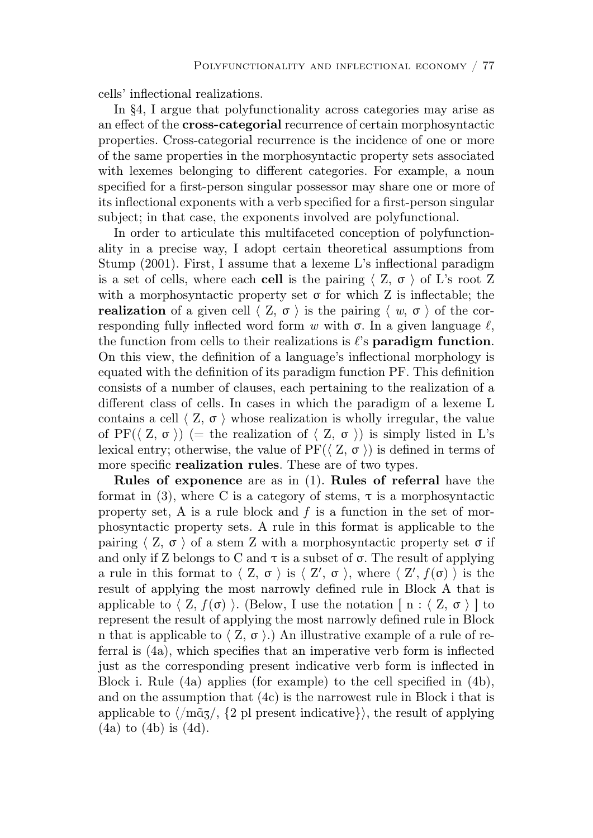cells' inflectional realizations.

In §4, I argue that polyfunctionality across categories may arise as an effect of the cross-categorial recurrence of certain morphosyntactic properties. Cross-categorial recurrence is the incidence of one or more of the same properties in the morphosyntactic property sets associated with lexemes belonging to different categories. For example, a noun specified for a first-person singular possessor may share one or more of its inflectional exponents with a verb specified for a first-person singular subject; in that case, the exponents involved are polyfunctional.

In order to articulate this multifaceted conception of polyfunctionality in a precise way, I adopt certain theoretical assumptions from Stump (2001). First, I assume that a lexeme L's inflectional paradigm is a set of cells, where each cell is the pairing  $\langle Z, \sigma \rangle$  of L's root Z with a morphosyntactic property set  $\sigma$  for which Z is inflectable; the **realization** of a given cell  $\langle Z, \sigma \rangle$  is the pairing  $\langle w, \sigma \rangle$  of the corresponding fully inflected word form w with  $\sigma$ . In a given language  $\ell$ , the function from cells to their realizations is  $\ell$ 's **paradigm function**. On this view, the definition of a language's inflectional morphology is equated with the definition of its paradigm function PF. This definition consists of a number of clauses, each pertaining to the realization of a different class of cells. In cases in which the paradigm of a lexeme L contains a cell  $\langle Z, \sigma \rangle$  whose realization is wholly irregular, the value of PF( $\langle Z, \sigma \rangle$ ) (= the realization of  $\langle Z, \sigma \rangle$ ) is simply listed in L's lexical entry; otherwise, the value of  $PF(\langle Z, \sigma \rangle)$  is defined in terms of more specific **realization rules**. These are of two types.

Rules of exponence are as in (1). Rules of referral have the format in (3), where C is a category of stems,  $\tau$  is a morphosyntactic property set, A is a rule block and  $f$  is a function in the set of morphosyntactic property sets. A rule in this format is applicable to the pairing  $\langle Z, \sigma \rangle$  of a stem Z with a morphosyntactic property set  $\sigma$  if and only if Z belongs to C and  $\tau$  is a subset of  $\sigma$ . The result of applying a rule in this format to  $\langle Z, \sigma \rangle$  is  $\langle Z', \sigma \rangle$ , where  $\langle Z', f(\sigma) \rangle$  is the result of applying the most narrowly defined rule in Block A that is applicable to  $\langle Z, f(\sigma) \rangle$ . (Below, I use the notation [ n :  $\langle Z, \sigma \rangle$  ] to represent the result of applying the most narrowly defined rule in Block n that is applicable to  $\langle Z, \sigma \rangle$ .) An illustrative example of a rule of referral is (4a), which specifies that an imperative verb form is inflected just as the corresponding present indicative verb form is inflected in Block i. Rule (4a) applies (for example) to the cell specified in (4b), and on the assumption that (4c) is the narrowest rule in Block i that is applicable to  $\langle$  m $\tilde{q}$ z/,  $\{2 \text{ pl} \}$  present indicative}), the result of applying (4a) to (4b) is (4d).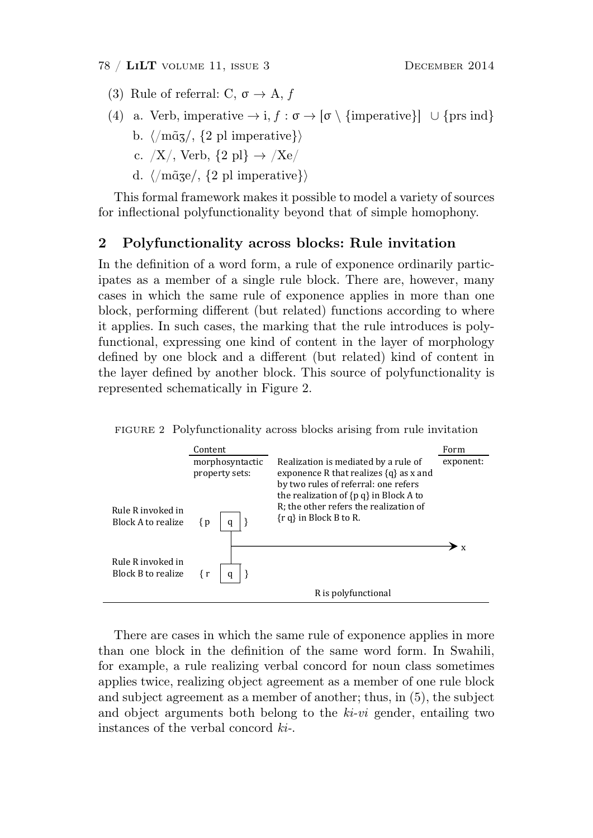- (3) Rule of referral: C,  $\sigma \rightarrow A$ , f
- (4) a. Verb, imperative  $\rightarrow$  i,  $f : \sigma \rightarrow [\sigma \setminus {\text{imperative}}] \cup {\text{prs ind}}$ 
	- b.  $\langle \langle m\tilde{q}z \rangle$ ,  $\{2 \text{ pl imperative}\}\rangle$
- c.  $/X/$ , Verb,  $\{2 \text{ pl}\}\rightarrow$   $/Xe/$  $\left( \begin{array}{ccc} 0 & 0 & 0 \\ 0 & 0 & 0 \\ 0 & 0 & 0 \\ 0 & 0 & 0 \\ 0 & 0 & 0 \\ 0 & 0 & 0 \\ 0 & 0 & 0 \\ 0 & 0 & 0 \\ 0 & 0 & 0 \\ 0 & 0 & 0 \\ 0 & 0 & 0 \\ 0 & 0 & 0 \\ 0 & 0 & 0 \\ 0 & 0 & 0 & 0 \\ 0 & 0 & 0 & 0 \\ 0 & 0 & 0 & 0 \\ 0 & 0 & 0 & 0 \\ 0 & 0 & 0 & 0 & 0 \\ 0 & 0 & 0 & 0 & 0 \\ 0 & 0 & 0 & 0 & 0 \\$
- $d. \ \ \langle /m\tilde{a}_3e/ , \ \{ 2 \text{ pl} \text{ imperative} \} \rangle$

This formal framework makes it possible to model a variety of sources for inflectional polyfunctionality beyond that of simple homophony.

#### 2 Polyfunctionality across blocks: Rule invitation  $\bullet$   $\bullet$

In the definition of a word form, a rule of exponence ordinarily participates as a member of a single rule block. There are, however, many cases in which the same rule of exponence applies in more than one block, performing different (but related) functions according to where it applies. In such cases, the marking that the rule introduces is polyfunctional, expressing one kind of content in the layer of morphology defined by one block and a different (but related) kind of content in the layer defined by another block. This source of polyfunctionality is represented schematically in Figure 2. rancelonal, expressing one kind of content in the layer of morphology represented schematically in Figure 2.

FIGURE 2 Polyfunctionality across blocks arising from rule invitation



There are cases in which the same rule of exponence applies in more THEIR CARD CONSERVATION CONTROL CONTROL CONFIDENCE OF THE TIME OF THE CONTROL CONTROL CONTROL CONTROL CONTROL CONTROL CONTROL CONTROL CONTROL CONTROL CONTROL CONTROL CONTROL CONTROL CONTROL CONTROL CONTROL CONTROL CONTROL than one block in the definition of the same word form. In Swahili, for example, a rule realizing verbal concord for noun class sometimes applies twice, realizing object agreement as a member of one rule block and subject agreement as a member of another; thus, in  $(5)$ , the subject and object arguments both belong to the  $ki-vi$  gender, entailing two instances of the verbal concord  $ki$ -.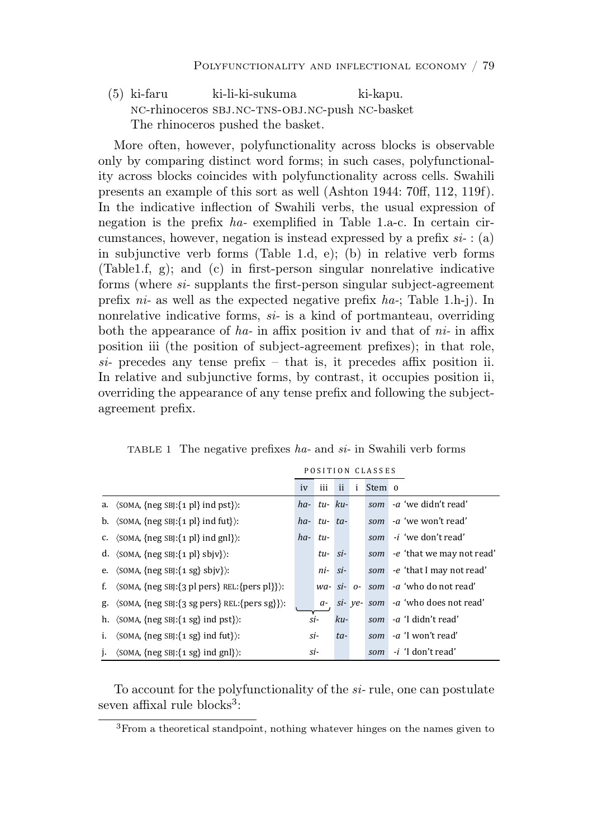(5) ki-faru ki-li-ki-sukuma ki-kapu. nc-rhinoceros sbj.nc-tns-obj.nc-push nc-basket The rhinoceros pushed the basket.

More often, however, polyfunctionality across blocks is observable only by comparing distinct word forms; in such cases, polyfunctionality across blocks coincides with polyfunctionality across cells. Swahili presents an example of this sort as well (Ashton 1944: 70ff, 112, 119f). In the indicative inflection of Swahili verbs, the usual expression of negation is the prefix ha- exemplified in Table 1.a-c. In certain circumstances, however, negation is instead expressed by a prefix  $si$  : (a) in subjunctive verb forms (Table 1.d, e); (b) in relative verb forms (Table1.f, g); and (c) in first-person singular nonrelative indicative forms (where si- supplants the first-person singular subject-agreement prefix  $ni$ - as well as the expected negative prefix  $ha$ -; Table 1.h-j). In nonrelative indicative forms,  $si$ - is a kind of portmanteau, overriding both the appearance of  $ha$ - in affix position iv and that of  $ni$ - in affix position iii (the position of subject-agreement prefixes); in that role, si- precedes any tense prefix – that is, it precedes affix position ii. In relative and subjunctive forms, by contrast, it occupies position ii, overriding the appearance of any tense prefix and following the subject- $\alpha$ greement prefix. osition in (the position of subject-agreement prefixes); in that role, *h* relative and subjunctive forms, by contrast, to occupies position i  $\overline{a}$ 

|    |                                                                   |               |                 |       |   | POSITION CLASSES    |                           |
|----|-------------------------------------------------------------------|---------------|-----------------|-------|---|---------------------|---------------------------|
|    |                                                                   | <sub>iv</sub> | iii             | ii    | i | Stem 0              |                           |
|    | a. $\langle$ SOMA, {neg SBJ:{1 pl} ind pst}):                     | $ha-$         | $tu - ku -$     |       |   | som                 | -a 'we didn't read'       |
|    | b. $\langle$ SOMA, {neg SBJ: {1 pl} ind fut}):                    | $ha-$         | $tu$ - $ta$ -   |       |   | som                 | -a 'we won't read'        |
|    | C. $\langle$ SOMA, {neg SBJ: {1 pl} ind gnl}):                    | $ha-$         | tu-             |       |   | som                 | <i>-i</i> 'we don't read' |
|    | d. $\langle$ SOMA, {neg SBJ:{1 pl} sbjv} $\rangle$ :              |               | tu-             | si-   |   | som                 | -e 'that we may not read' |
|    | e. $\langle$ SOMA, {neg SBJ:{1 sg} sbjv}):                        |               | ni-             | $Si-$ |   | som                 | -e 'that I may not read'  |
| f. | $\langle$ SOMA, {neg SBJ: {3 pl pers} REL: {pers pl}} $\rangle$ : |               | $wa - Si - O -$ |       |   |                     | som -a 'who do not read'  |
|    | g. $\langle$ SOMA, {neg SBJ:{3 sg pers} REL:{pers sg}}):          |               | $a-$            |       |   | $si$ - $ve$ - $som$ | -a 'who does not read'    |
|    | h. $\langle$ SOMA, {neg SBJ:{1 sg} ind pst}}:                     | si-           |                 | ku-   |   | som                 | <i>-a</i> 'I didn't read' |
| i. | $\langle$ SOMA, {neg SBI: {1 sg} ind fut}}:                       | si-           |                 | $ta-$ |   | som                 | -a 'I won't read'         |
| j. | $\langle$ SOMA, {neg SBJ: {1 sg} ind gnl}):                       | si-           |                 |       |   | som                 | <i>-i</i> 'I don't read'  |

TABLE 1 The negative prefixes *ha*- and *si*- in Swahili verb forms

To account for the polyfunctionality of the si-rule, one can postulate seven affixal rule blocks<sup>3</sup>:  $\mathbf{r}$  which is the stocks.

www.c.theoretical.ctor.dr.o <sup>3</sup>From a theoretical standpoint, nothing whatever hinges on the names given to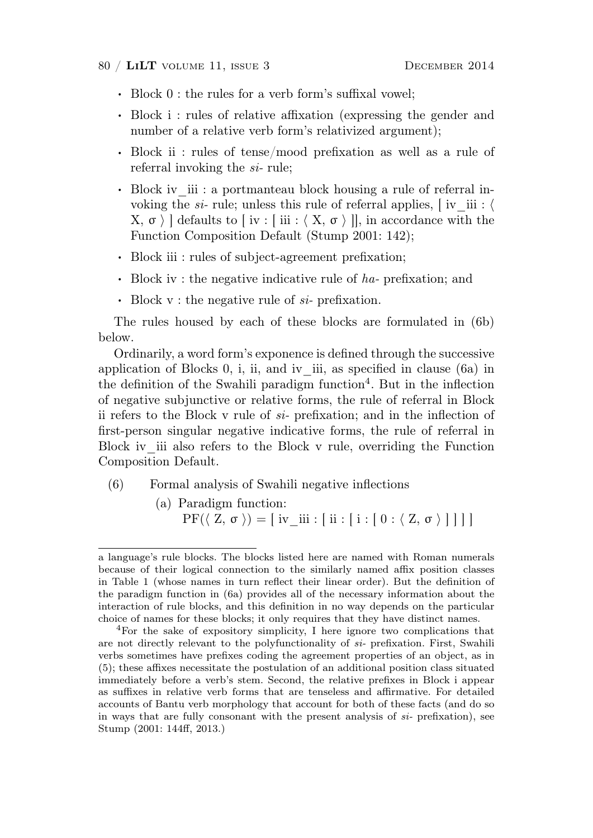#### 80 / LiLT volume 11, issue 3 December 2014

- . Block 0 : the rules for a verb form's suffixal vowel;
- . Block i : rules of relative affixation (expressing the gender and number of a relative verb form's relativized argument);
- . Block ii : rules of tense/mood prefixation as well as a rule of referral invoking the  $si$ -rule;
- . Block iv\_iii : a portmanteau block housing a rule of referral invoking the si- rule; unless this rule of referral applies,  $\lceil$  iv iii :  $\langle$  $X, \sigma \nbrace$  defaults to [iv : [iii :  $\langle X, \sigma \nbrace$ ], in accordance with the Function Composition Default (Stump 2001: 142);
- . Block iii : rules of subject-agreement prefixation;
- . Block iv : the negative indicative rule of ha- prefixation; and
- $\cdot$  Block v : the negative rule of  $si$  prefixation.

The rules housed by each of these blocks are formulated in (6b) below.

Ordinarily, a word form's exponence is defined through the successive application of Blocks 0, i, ii, and iv\_iii, as specified in clause (6a) in the definition of the Swahili paradigm function<sup>4</sup>. But in the inflection of negative subjunctive or relative forms, the rule of referral in Block ii refers to the Block v rule of si- prefixation; and in the inflection of first-person singular negative indicative forms, the rule of referral in Block iv iii also refers to the Block v rule, overriding the Function Composition Default.

- (6) Formal analysis of Swahili negative inflections
	- (a) Paradigm function:  $PF(\langle Z, \sigma \rangle) = [$  iv iii :  $[i : [ i : [ 0 : \langle Z, \sigma \rangle ] ] ] ]$

a language's rule blocks. The blocks listed here are named with Roman numerals because of their logical connection to the similarly named affix position classes in Table 1 (whose names in turn reflect their linear order). But the definition of the paradigm function in (6a) provides all of the necessary information about the interaction of rule blocks, and this definition in no way depends on the particular choice of names for these blocks; it only requires that they have distinct names.

<sup>4</sup>For the sake of expository simplicity, I here ignore two complications that are not directly relevant to the polyfunctionality of si- prefixation. First, Swahili verbs sometimes have prefixes coding the agreement properties of an object, as in (5); these affixes necessitate the postulation of an additional position class situated immediately before a verb's stem. Second, the relative prefixes in Block i appear as suffixes in relative verb forms that are tenseless and affirmative. For detailed accounts of Bantu verb morphology that account for both of these facts (and do so in ways that are fully consonant with the present analysis of  $si$ - prefixation), see Stump (2001: 144ff, 2013.)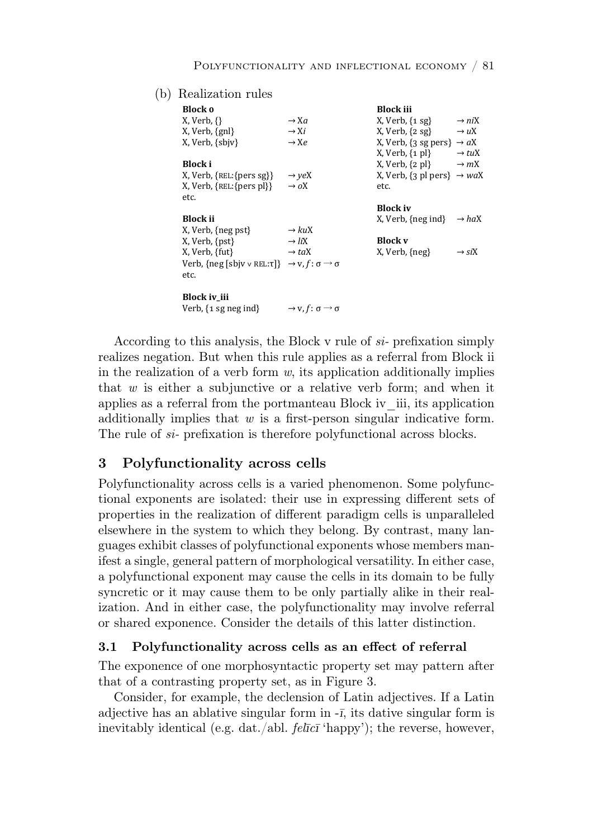(b) Realization rules

| Block o                                                                                |                                                      | <b>Block</b> iii                                               |                   |
|----------------------------------------------------------------------------------------|------------------------------------------------------|----------------------------------------------------------------|-------------------|
| $X, Verb, \{\}$                                                                        | $\rightarrow Xa$                                     | $X, Verb, {1 sg}$                                              | $\rightarrow$ niX |
| $X, Verb, {gn}$                                                                        | $\rightarrow$ Xi                                     | X, Verb, $\{2 \text{ sg}\}\rightarrow uX$                      |                   |
| X, Verb, {sbjv}                                                                        | $\rightarrow$ Xe                                     | X, Verb, $\{3 \text{ sg pers}\}\rightarrow aX$                 |                   |
|                                                                                        |                                                      | X, Verb, $\{1 \text{ pl}\} \rightarrow tuX$                    |                   |
| Block i                                                                                |                                                      | X, Verb, $\{2 \text{ pl}\} \rightarrow mX$                     |                   |
| $X, Verb, {REL:} {pers sg}$                                                            | $\rightarrow$ yeX                                    | X, Verb, $\{3 \text{ pl } \text{pers}\}\rightarrow \text{w}aX$ |                   |
| X, Verb, {REL: {pers pl}}                                                              | $\rightarrow oX$                                     | etc.                                                           |                   |
| etc.                                                                                   |                                                      |                                                                |                   |
|                                                                                        |                                                      | <b>Block iv</b>                                                |                   |
|                                                                                        |                                                      |                                                                |                   |
| <b>Block</b> ii                                                                        |                                                      | X, Verb, {neg ind}                                             | $\rightarrow$ haX |
| X, Verb, {neg pst}                                                                     | $\rightarrow$ kuX                                    |                                                                |                   |
| X, Verb, {pst}                                                                         | $\rightarrow$ liX                                    | <b>Block</b> v                                                 |                   |
| X, Verb, {fut}                                                                         | $\rightarrow$ taX                                    | X, Verb, {neg}                                                 | $\rightarrow$ siX |
| Verb, {neg [sbjv $\vee$ REL: $\tau$ ]} $\rightarrow$ v, $f: \sigma \rightarrow \sigma$ |                                                      |                                                                |                   |
| etc.                                                                                   |                                                      |                                                                |                   |
|                                                                                        |                                                      |                                                                |                   |
| Block iv_iii                                                                           |                                                      |                                                                |                   |
| Verb, $\{1 \text{ sg neg ind}\}\$                                                      | $\rightarrow$ v, f : $\sigma$ $\rightarrow$ $\sigma$ |                                                                |                   |
|                                                                                        |                                                      |                                                                |                   |

According to this analysis, the Block v rule of si- prefixation simply realizes negation. But when this rule applies as a referral from Block ii well-otion of a work fours on its condication of ditionally insulise in the realization of a verb form  $w$ , its application additionally implies that w is either a subjunctive or a relative verb form; and when it applies as a referral from the portmanteau Block iv\_iii, its application additionally implies that  $w$  is a first-person singular indicative form. The rule of  $si$ - prefixation is therefore polyfunctional across blocks.

#### outly across cells and the control of the control of the control of the control of the control of the control o ǡ 3 Polyfunctionality across cells

Polyfunctionality across cells is a varied phenomenon. Some polyfunc- $\frac{1}{2}$   $\frac{1}{2}$   $\frac{1}{2}$   $\frac{1}{2}$   $\frac{1}{2}$   $\frac{1}{2}$   $\frac{1}{2}$   $\frac{1}{2}$   $\frac{1}{2}$   $\frac{1}{2}$   $\frac{1}{2}$   $\frac{1}{2}$   $\frac{1}{2}$   $\frac{1}{2}$   $\frac{1}{2}$   $\frac{1}{2}$   $\frac{1}{2}$   $\frac{1}{2}$   $\frac{1}{2}$   $\frac{1}{2}$   $\frac{1}{2}$   $\frac{1}{2}$  tional exponents are isolated: their use in expressing different sets of properties in the realization of different paradigm cells is unparalleled elsewhere in the system to which they belong. By contrast, many languages exhibit classes of polyfunctional exponents whose members man*signal sing sing* **<b>***sing sing* **<b>***sing sing* **<b>***sing sing sing* ifest a single, general pattern of morphological versatility. In either case, inctional expense the cause the college in its demain to be fully a polyfunctional exponent may cause the cells in its domain to be fully syncretic or it may cause them to be only partially alike in their realization. And in either case, the polyfunctionality may involve referral or shared exponence. Consider the details of this latter distinction.

#### 3.1 Polyfunctionality across cells as an effect of referral

The exponence of one morphosyntactic property set may pattern after that of a contrasting property set, as in Figure 3.

Consider, for example, the declension of Latin adjectives. If a Latin adjective has an ablative singular form in  $-\bar{i}$ , its dative singular form is inevitably identical (e.g. dat./abl.  $f \in \overline{I}(\overline{c})$  'happy'); the reverse, however,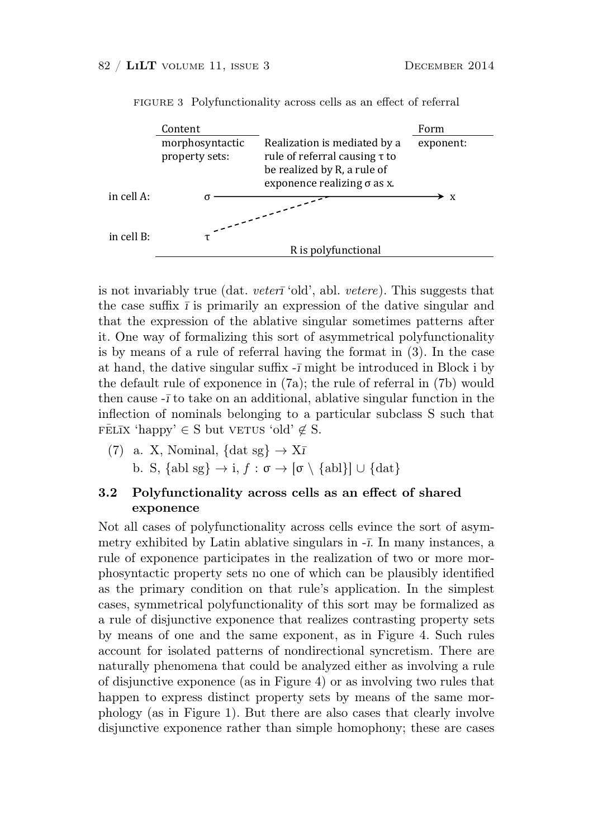

FIGURE 3 Polyfunctionality across cells as an effect of referral  $\begin{bmatrix} 1 & 0 & 0 \\ 0 & 0 & 0 \\ 0 & 0 & 0 \end{bmatrix}$   $\begin{bmatrix} 0 & 0 & 0 \\ 0 & 0 & 0 \\ 0 & 0 & 0 \end{bmatrix}$ nonanty across cens a

*is* not invariably true (dat. *veterī* 'old', abl. *vetere*). This suggests that the case suffix  $\bar{\imath}$  is primarily an expression of the dative singular and that the expression of the ablative singular sometimes patterns after Ǥ it. One way of formalizing this sort of asymmetrical polyfunctionality is by means of a rule of referral having the format in  $(3)$ . In the case at hand, the dative singular suffix  $-\bar{\imath}$  might be introduced in Block i by the default rule of exponence in (7a); the rule of referral in (7b) would then cause  $-\bar{i}$  to take on an additional, ablative singular function in the FELIX 'happy'  $\in$  S but verus 'old'  $\notin$  S. inflection of nominals belonging to a particular subclass S such that

(7) a. X, Nominal, {dat sg} 
$$
\rightarrow
$$
 X $\bar{\text{i}}$   
b. S, {abl sg}  $\rightarrow$  i,  $f : \sigma \rightarrow [\sigma \setminus {\text{abl}}] \cup {\text{dat}}$ 

# exponence 3.2 Polyfunctionality across cells as an effect of shared

Not all cases of polyfunctionality across cells evince the sort of asym- $\frac{1}{2}$  and  $\frac{1}{2}$  i.e.  $\frac{1}{2}$  i.e.  $\frac{1}{2}$  i.e.  $\frac{1}{2}$  i.e.  $\frac{1}{2}$  i.e.  $\frac{1}{2}$  i.e.  $\frac{1}{2}$  i.e.  $\frac{1}{2}$  i.e.  $\frac{1}{2}$  i.e.  $\frac{1}{2}$  i.e.  $\frac{1}{2}$  i.e.  $\frac{1}{2}$  i.e.  $\frac{1}{2}$  i.e.  $\frac{1}{2}$  ii metry exhibited by Latin ablative singulars in  $-\bar{\imath}$ . In many instances, a rule of exponence participates in the realization of two or more morphosyntactic property sets no one of which can be plausibly identified as the primary condition on that rule's application. In the simplest cases, symmetrical polyfunctionality of this sort may be formalized as a rule of disjunctive exponence that realizes contrasting property sets ȋ ͟ȌǤ by means of one and the same exponent, as in Figure 4. Such rules account for isolated patterns of nondirectional syncretism. There are naturally phenomena that could be analyzed either as involving a rule of disjunctive exponence (as in Figure 4) or as involving two rules that happen to express distinct property sets by means of the same morphology (as in Figure 1). But there are also cases that clearly involve disjunctive exponence rather than simple homophony; these are cases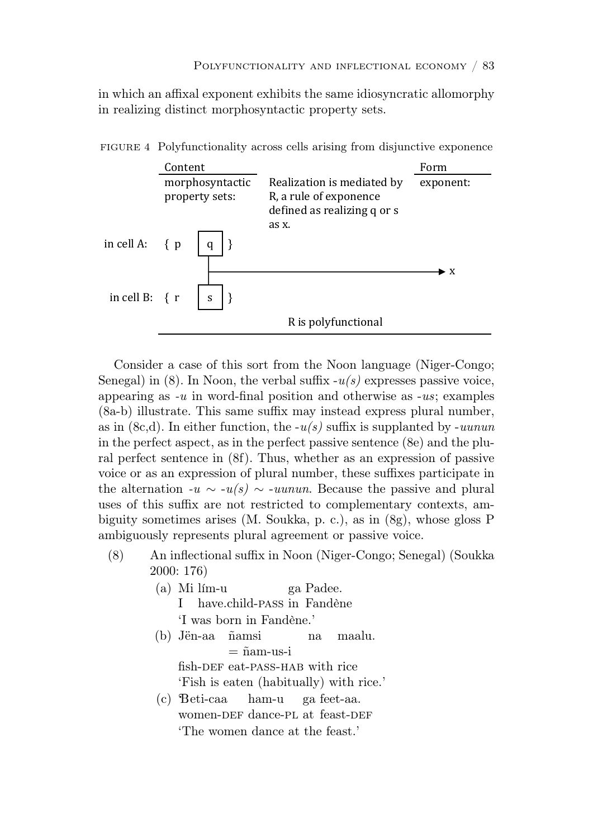in which an affixal exponent exhibits the same idiosyncratic allomorphy in realizing distinct morphosyntactic property sets.



FIGURE 4 Polyfunctionality across cells arising from disjunctive exponence unctionality across cens arising from

 $\alpha$  is the second second in  $\alpha$ Consider a case of this sort from the Noon language (Niger-Congo; Senegal) in  $(8)$ . In Noon, the verbal suffix  $-u(s)$  expresses passive voice, appearing as *-u* in word-final position and otherwise as *-us*; examples ǡȋͦȌȋͦȌǤǡ (8a-b) illustrate. This same suffix may instead express plural number, as in  $(8c,d)$ . In either function, the  $-u(s)$  suffix is supplanted by *-uunun* in the perfect aspect, as in the perfect passive sentence (8e) and the plural perfect sentence in (8f). Thus, whether as an expression of passive voice or as an expression of plural number, these suffixes participate in the alternation  $-u \sim -u(s) \sim -u(u)$ . Because the passive and plural biguity sometimes arises (M. Soukka, p. c.), as in (8g), whose gloss P sombiguously represents plural agree ambiguously represents plural agreement or passive voice. uses of this suffix are not restricted to complementary contexts, am-

- Ǥ *Jën-aa ñamsi na maalu.* (8) An inflectional suffix in Noon (Niger-Congo; Senegal) (Soukka α *ñam-us-i* 2000: 176)
- (a) Mi lím-u ga Padee. I have.child-pass in Fandène  $\frac{1 \text{ was both in real}}{2}$ 'I was born in Fandène.'
- (b) Jën-aa ñamsi na maalu.  $=\mathbf{r}$ man but caa *riiss* into with  $\left( \begin{array}{c} \n\text{Fish is eaten (habitually) with rice.} \n\end{array} \right)$  $=$  ñam-us-i fish-DEF eat-PASS-HAB with rice
- (c) Beti-caa ham-u ga feet-aa. women-DEF dance-PL at feast-DEF Ǥ *Jën-aa tóoh ñam-uunun.* 'The women dance at the feast.'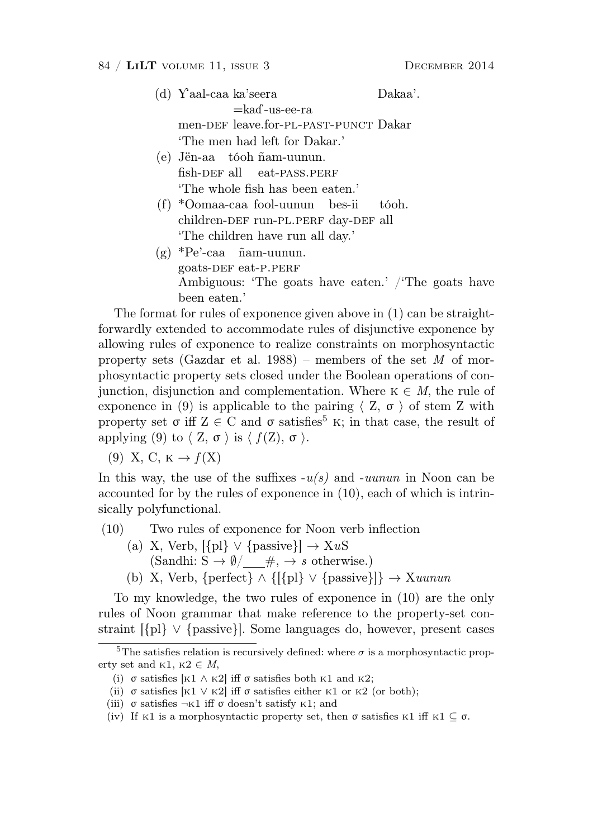- $(d)$  Yaal-caa ka'seera Dakaa'.  $=$ ka $\alpha$ -us-ee-ra men-def leave.for-pl-past-punct Dakar 'The men had left for Dakar.'
- (e) Jën-aa tóoh ñam-uunun. fish-DEF all eat-PASS.PERF 'The whole fish has been eaten.'
- (f) \*Oomaa-caa fool-uunun bes-ii tóoh. children-DEF run-PL.PERF day-DEF all 'The children have run all day.'
- $(g) * Pe' caa$  ñam-uunun. goats-DEF eat-P.PERF Ambiguous: 'The goats have eaten.' /'The goats have been eaten.'

The format for rules of exponence given above in (1) can be straightforwardly extended to accommodate rules of disjunctive exponence by allowing rules of exponence to realize constraints on morphosyntactic property sets (Gazdar et al. 1988) – members of the set  $M$  of morphosyntactic property sets closed under the Boolean operations of conjunction, disjunction and complementation. Where  $K \in M$ , the rule of exponence in (9) is applicable to the pairing  $\langle Z, \sigma \rangle$  of stem Z with property set  $\sigma$  iff  $Z \in \mathbb{C}$  and  $\sigma$  satisfies<sup>5</sup> k; in that case, the result of applying (9) to  $\langle Z, \sigma \rangle$  is  $\langle f(Z), \sigma \rangle$ .

(9) X, C,  $K \rightarrow f(X)$ 

In this way, the use of the suffixes  $-u(s)$  and  $-uunun$  in Noon can be accounted for by the rules of exponence in (10), each of which is intrinsically polyfunctional.

- (10) Two rules of exponence for Noon verb inflection
	- (a) X, Verb,  $[\{\text{pl}\}\vee \{\text{passive}\}] \rightarrow \text{X}uS$ (Sandhi:  $S \rightarrow \emptyset / \_\ \#$ ,  $\rightarrow s$  otherwise.)
	- (b) X, Verb, {perfect} ∧ {[{pl}  $\lor$  {passive}]}  $\rightarrow$  Xuunun

To my knowledge, the two rules of exponence in (10) are the only rules of Noon grammar that make reference to the property-set constraint [{pl} ∨ {passive}]. Some languages do, however, present cases

<sup>&</sup>lt;sup>5</sup>The satisfies relation is recursively defined: where  $\sigma$  is a morphosyntactic property set and  $\kappa$ 1,  $\kappa$ 2  $\in$  *M*,

<sup>(</sup>i)  $\sigma$  satisfies [k1  $\land$  k2] iff  $\sigma$  satisfies both k1 and k2;

<sup>(</sup>ii)  $\sigma$  satisfies [k1  $\vee$  k2] iff  $\sigma$  satisfies either k1 or k2 (or both);

<sup>(</sup>iii)  $\sigma$  satisfies  $\neg K1$  iff  $\sigma$  doesn't satisfy K1; and

<sup>(</sup>iv) If k1 is a morphosyntactic property set, then  $\sigma$  satisfies k1 iff k1  $\subset \sigma$ .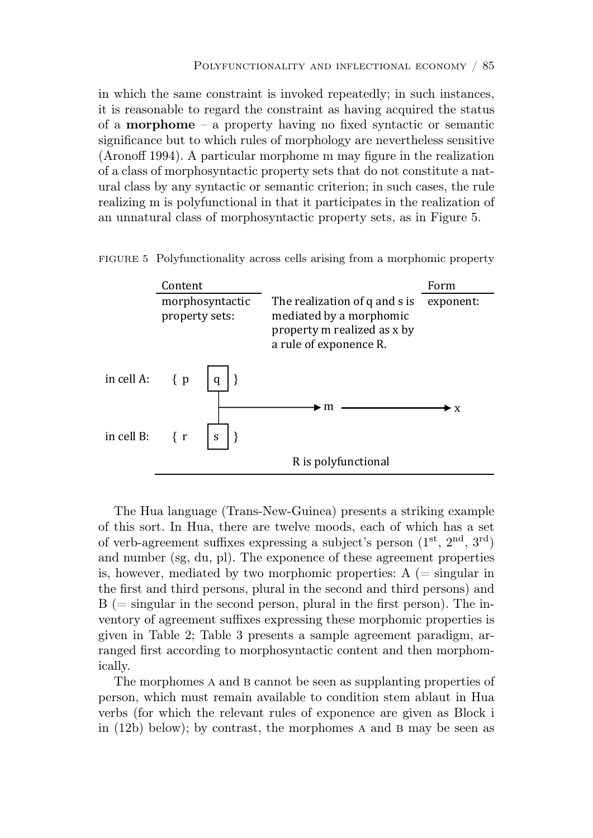in which the same constraint is invoked repeatedly; in such instances, it is reasonable to regard the constraint as having acquired the status of a **morphome** – a property having no fixed syntactic or semantic significance but to which rules of morphology are nevertheless sensitive (Aronoff 1994). A particular morphome m may figure in the realization of a class of morphosyntactic property sets that do not constitute a nat ural class by any syntactic or semantic criterion; in such cases, the rule Ǣǡ realizing m is polyfunctional in that it participates in the realization of an unnatural class of morphosyntactic property sets, as in Figure 5.  $\overline{a}$   $\overline{a}$   $\overline{a}$   $\overline{a}$   $\overline{a}$   $\overline{a}$   $\overline{a}$   $\overline{a}$   $\overline{a}$   $\overline{a}$   $\overline{a}$   $\overline{a}$   $\overline{a}$   $\overline{a}$   $\overline{a}$   $\overline{a}$   $\overline{a}$   $\overline{a}$   $\overline{a}$   $\overline{a}$   $\overline{a}$   $\overline{a}$   $\overline{a}$   $\overline{a}$   $\overline{$ In which the same constraint is invoked repeatedly; in such instances,

FIGURE 5 Polyfunctionality across cells arising from a morphomic property



The Hua language (Trans-New-Guinea) presents a striking example  $\frac{1}{10}$  in the number is the set of  $\frac{1}{10}$  in  $\frac{1}{10}$  in  $\frac{1}{10}$  in  $\frac{1}{10}$ of this sort. In Hua, there are twelve moods, each of which has a set of verb-agreement suffixes expressing a subject's person  $(1^{st}, 2^{nd}, 3^{rd})$ and number (sg, du, pl). The exponence of these agreement properties is, however, mediated by two morphomic properties:  $A$  (= singular in the first and third persons, plural in the second and third persons) and  $B =$  singular in the second person, plural in the first person). The inventory of agreement suffixes expressing these morphomic properties is given in Table 2; Table 3 presents a sample agreement paradigm, arranged first according to morphosyntactic content and then morphomically.

> The morphomes A and B cannot be seen as supplanting properties of person, which must remain available to condition stem ablaut in Hua verbs (for which the relevant rules of exponence are given as Block i in  $(12b)$  below); by contrast, the morphomes A and B may be seen as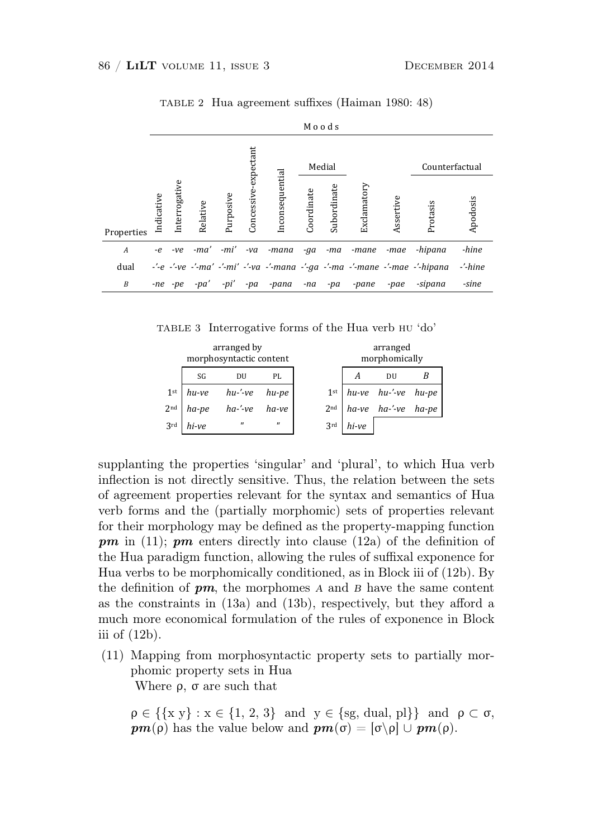|                  |            | Moods         |          |           |                      |                 |            |             |             |           |                                                                                                                |            |
|------------------|------------|---------------|----------|-----------|----------------------|-----------------|------------|-------------|-------------|-----------|----------------------------------------------------------------------------------------------------------------|------------|
|                  |            |               | Medial   |           |                      |                 |            |             |             |           | Counterfactual                                                                                                 |            |
| Properties       | Indicative | Interrogative | Relative | Purposive | Concessive-expectant | Inconsequential | Coordinate | Subordinate | Exclamatory | Assertive | Protasis                                                                                                       | Apodosis   |
| $\boldsymbol{A}$ | $-e$       | -ve           | -ma'     | -mi'      | $-va$                | -mana           | $-qa$      | -ma         | -mane       | -mae      | -hipana                                                                                                        | -hine      |
| dual             |            |               |          |           |                      |                 |            |             |             |           | $-2$ -e $-2$ -ve $-2$ -ma' $-2$ -mi' $-2$ -va $-2$ -mana $-2$ -ga $-2$ -mane $-2$ -mane $-2$ -mae $-2$ -hipana | $-/-$ hine |
| B                |            | $-ne$ $-pe$   | $-pa'$   | -pi'      | -pa                  | -pana           | -na        | -pa         | -pane       | -pae      | -sipana                                                                                                        | -sine      |

TABLE 2 Hua agreement suffixes (Haiman 1980: 48) TABLE 2 Hua agreement suffixes (Haim

TABLE 3 Interrogative forms of the Hua verb HU 'do'

|                 |       | arranged by<br>morphosyntactic content |                   |                 |       | arranged<br>morphomically                                                                                                                   |  |
|-----------------|-------|----------------------------------------|-------------------|-----------------|-------|---------------------------------------------------------------------------------------------------------------------------------------------|--|
|                 | SG    | DU                                     | PL                |                 | А     | DU                                                                                                                                          |  |
| 1 <sup>st</sup> | hu-ve | $hu$ -'-ve                             | hu-pe             | 1 <sup>st</sup> |       |                                                                                                                                             |  |
| 2 <sup>nd</sup> | ha-pe | $ha$ -'-ve                             | ha-ve             | 2 <sup>nd</sup> |       | $\begin{array}{ccc} hu\text{-}ve & hu\text{-}'\text{-}ve & hu\text{-}pe \\ ha\text{-}ve & ha\text{-}'\text{-}ve & ha\text{-}pe \end{array}$ |  |
| 3rd             | hi-ve | $\mathbf{u}$                           | $^{\prime\prime}$ | 3rd             | hi-ve |                                                                                                                                             |  |

supplanting the properties 'singular' and 'plural', to which Hua verb of the state of the second constitution of the selection between the set methon is not directly sensitive. Thus, the relation between the of agreement properties relevant for the syntax and semantics of Hua orb forms and the (partially mornbonic) sets of proporties relax ers remo and the (partituly morphome) sees of properties for  $\alpha$  their morphology may be defined as the property-mapping function  $pm$  in (11);  $pm$  enters directly into clause (12a) of the definition of  $\sim$  Theorem is the first discussion ne riua parauigin runci A<sub>cont</sub>ine is not disable consitive. These the solation between the c inflection is not directly sensitive. Thus, the relation between the sets verb forms and the (partially morphomic) sets of properties relevant ϐǦ*pm*ȋ͟͟ȌǢ*pm* for their morphology may be defined as the property-mapping function be Hug paredigm function, allowing the rules of suffixed expenses for the Hua paradigm function, allowing the rules of suffixal exponence for Hua verbs to be morphomically conditioned, as in Block iii of (12b). By the definition of  $pm$ , the morphomes  $A$  and  $B$  have the same content as the constraints in (13a) and (13b), respectively, but they afford a much more economical formulation of the rules of exponence in Block iii of (12b).

(11) Mapping from morphosyntactic property sets to partially morphomic property sets in Hua Where  $\rho$ ,  $\sigma$  are such that

 $\rho \in \{\{x \mid y\} : x \in \{1, 2, 3\} \text{ and } y \in \{\text{sg, dual, pl}\}\}\$ and  $\rho \subset \sigma$ ,  $\mathbf{p}m(\rho)$  has the value below and  $\mathbf{p}m(\sigma) = [\sigma \backslash \rho] \cup \mathbf{p}m(\rho)$ .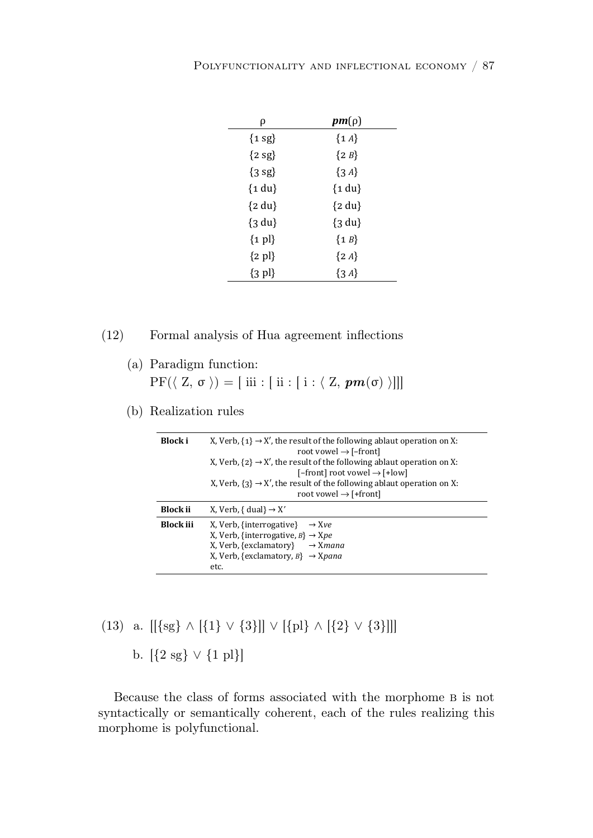| ρ                   | $pm(\rho)$ |
|---------------------|------------|
| ${1 \text{ sg}}$    | $\{1A\}$   |
| ${2 sg}$            | ${2B}$     |
| ${3 \text{ sg}}$    | $\{3A\}$   |
| ${1 du}$            | ${1 du}$   |
| ${2 du}$            | ${2 du}$   |
| $\{3 \, du\}$       | ${3 du}$   |
| $\{1\}$             | ${1B}$     |
| $\{2\text{ pl}\}\$  | $\{2A\}$   |
| $\{3 \text{ pl}\}\$ | $\{3A\}$   |

#### (12) Formal analysis of Hua agreement inflections

- (a) Paradigm function:
- $\mathrm{PF}(\langle \ \mathrm{Z},\ \sigma \ \rangle) = [ \ \mathrm{iii} : [ \ \mathrm{ii} : [ \ \mathrm{i} : \langle \ \mathrm{Z},\ \boldsymbol{pm}(\sigma) \ \rangle ] ] ]$
- (b) Realization rules

#### ǡǤ *B* (13) a. [[ $\{sg\} \wedge [\{1\} \vee \{3\}]$ ]  $\vee$   $[\{pl\} \wedge [\{2\} \vee \{3\}]]$ ]

**b.** [{2 sg} ∨ {1 pl}]

solecause the class of forms associated with the morphome B is not ically or semantically coherent each of the rules realizing this syntactically or semantically coherent, each of the rules realizing this Because the class of forms associated with the morphome B is not morphome is polyfunctional.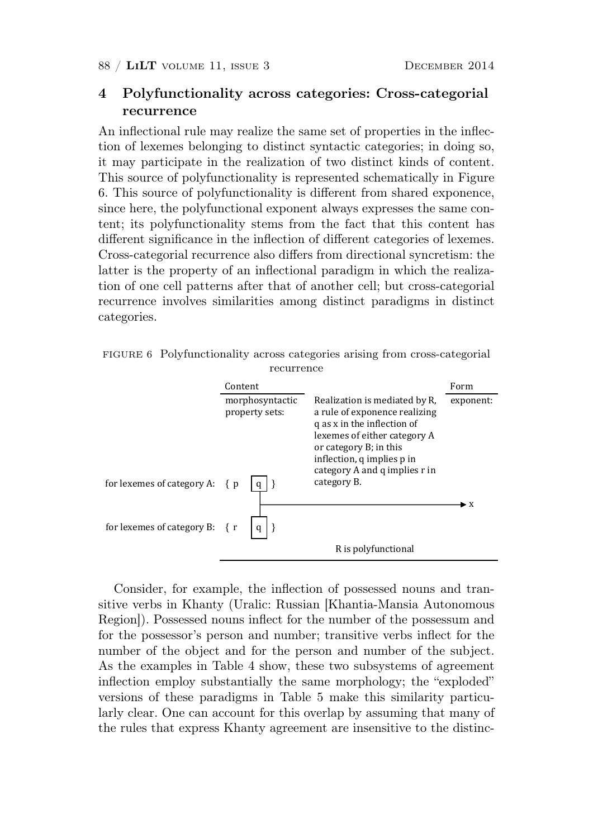# 4 Polyfunctionality across categories: Cross-categorial recurrence

An inflectional rule may realize the same set of properties in the inflection of lexemes belonging to distinct syntactic categories; in doing so, it may participate in the realization of two distinct kinds of content. This source of polyfunctionality is represented schematically in Figure 6. This source of polyfunctionality is different from shared exponence, since here, the polyfunctional exponent always expresses the same content; its polyfunctionality stems from the fact that this content has different significance in the inflection of different categories of lexemes. Cross-categorial recurrence also differs from directional syncretism: the latter is the property of an inflectional paradigm in which the realization of one cell patterns after that of another cell; but cross-categorial recurrence involves similarities among distinct paradigms in distinct categories. recurrence involves similarities among distinct paradigms in distinct Ǧ

FIGURE 6 Polyfunctionality across categories arising from cross-categorial **recurrence** 

|                                    | Content                           |                                                                                                                                                                                                                                       | Form      |  |
|------------------------------------|-----------------------------------|---------------------------------------------------------------------------------------------------------------------------------------------------------------------------------------------------------------------------------------|-----------|--|
| for lexemes of category A: $\{p\}$ | morphosyntactic<br>property sets: | Realization is mediated by R,<br>a rule of exponence realizing<br>q as x in the inflection of<br>lexemes of either category A<br>or category B; in this<br>inflection, q implies p in<br>category A and q implies r in<br>category B. | exponent: |  |
| for lexemes of category B: { r     |                                   |                                                                                                                                                                                                                                       | • x       |  |
|                                    |                                   | R is polyfunctional                                                                                                                                                                                                                   |           |  |

Consider, for example, the inflection of possessed nouns and transitive verbs in Khanty (Uralic: Russian [Khantia-Mansia Autonomous Beginner). Because of the property of the processes and Region]). Possessed nouns inflect for the number of the possessum and for the possessor's person and number; transitive verbs inflect for the number of the object and for the person and number of the subject. Ag the executive in Table 4 chain these two subsectance of empayers As the examples in Table 4 show, these two subsystems of agreement versions of these paradigms in Table 5 make this similarity particularly clear. One can account for this overlap by assuming that many of the rules that express Khanty agreement are insensitive to the distincinflection employ substantially the same morphology; the "exploded"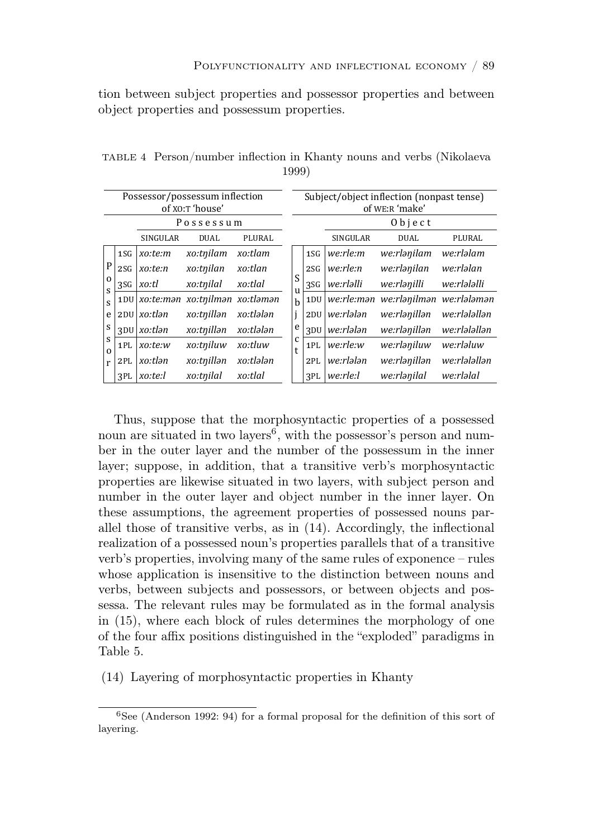tion between subject properties and possessor properties and between object properties and possessum properties. tion between subject properties and possessor properties and between

|                  | Possessor/possessum inflection<br>of XO:T 'house' |                 |                                |           |                   |                 | Subject/object inflection (nonpast tense)<br>of WE:R 'make' |                          |              |  |  |  |  |
|------------------|---------------------------------------------------|-----------------|--------------------------------|-----------|-------------------|-----------------|-------------------------------------------------------------|--------------------------|--------------|--|--|--|--|
|                  |                                                   |                 | Possessum                      |           |                   |                 |                                                             | $0$ b j e c t            |              |  |  |  |  |
|                  |                                                   | <b>SINGULAR</b> | <b>DUAL</b>                    | PLURAL    |                   |                 | <b>SINGULAR</b>                                             | <b>DUAL</b>              | PLURAL       |  |  |  |  |
|                  | 1S <sub>G</sub>                                   | xo:te:m         | xo:tnilam                      | xo:tlam   |                   | 1S <sub>G</sub> | we:rle:m                                                    | we:rlanilam              | we:rləlam    |  |  |  |  |
| $\mathbf P$      | 2S <sub>G</sub>                                   | xo:te:n         | xo:tnilan                      | xo:tlan   |                   | 2S <sub>G</sub> | we:rle:n                                                    | we:rlənilan              | we:rləlan    |  |  |  |  |
| $\mathbf 0$<br>S | 3SG                                               | xo:tl           | xo:tnilal                      | xo:tlal   | S                 | 3SG             | we:rləlli                                                   | we:rlanilli              | we:rlələlli  |  |  |  |  |
| S                | 1 <sub>DU</sub>                                   |                 | xo:te:man xo:tnilman xo:tlaman |           | u<br>$\mathbf{h}$ | 1 <sub>DU</sub> | we:rle:mən                                                  | we:rlanilman we:rlalaman |              |  |  |  |  |
| e                | 2DU                                               | xo:tlən         | xo:tnillan                     | xo:tlələn | j                 | 2DU             | we:rlələn                                                   | we:rlənillən             | we:rlələllən |  |  |  |  |
| S                | 3 <sub>DU</sub>                                   | xo:tlən         | xo:tnillan                     | xo:tlələn | e                 | 3 <sub>DU</sub> | we:rlələn                                                   | we:rlanillan             | we:rlələllən |  |  |  |  |
| S<br>$\Omega$    | 1PL                                               | xo:te:w         | xo:tniluw                      | xo:tluw   | c<br>t            | 1PL             | we:rle:w                                                    | we:rlaniluw              | we:rləluw    |  |  |  |  |
| r                | 2PL                                               | xo:tlən         | xo:tnillan                     | xo:tlələn |                   | 2PL             | we:rlələn                                                   | we:rlanillan             | we:rlələllən |  |  |  |  |
|                  | 3PL                                               | xo:te:l         | xo:tnilal                      | xo:tlal   |                   | 3PL             | we:rle:l                                                    | we:rlənilal              | we:rləlal    |  |  |  |  |

TABLE 4 Person/number inflection in Khanty nouns and verbs (Nikolaeva 1999) s and the second control of the second control of the second control of the second control of the second control of  $\frac{1}{\sqrt{2}}$ 

Thus, suppose that the morphosyntactic properties of a possessed noun are situated in two layers<sup>6</sup>, with the possessor's person and number in the outer layer and the number of the possessum in the inner layer; suppose, in addition, that a transitive verb's morphosyntactic properties are likewise situated in two layers, with subject person and number in the outer layer and object number in the inner layer. On these assumptions, the agreement properties of possessed nouns parallel those of transitive verbs, as in (14). Accordingly, the inflectional realization of a possessed noun's properties parallels that of a transitive verb's properties, involving many of the same rules of exponence – rules whose application is insensitive to the distinction between nouns and verbs, between subjects and possessors, or between objects and possessa. The relevant rules may be formulated as in the formal analysis in (15), where each block of rules determines the morphology of one of the four affix positions distinguished in the "exploded" paradigms in Table 5.

(14) Layering of morphosyntactic properties in Khanty

<sup>6</sup> See (Anderson 1992: 94) for a formal proposal for the definition of this sort of layering.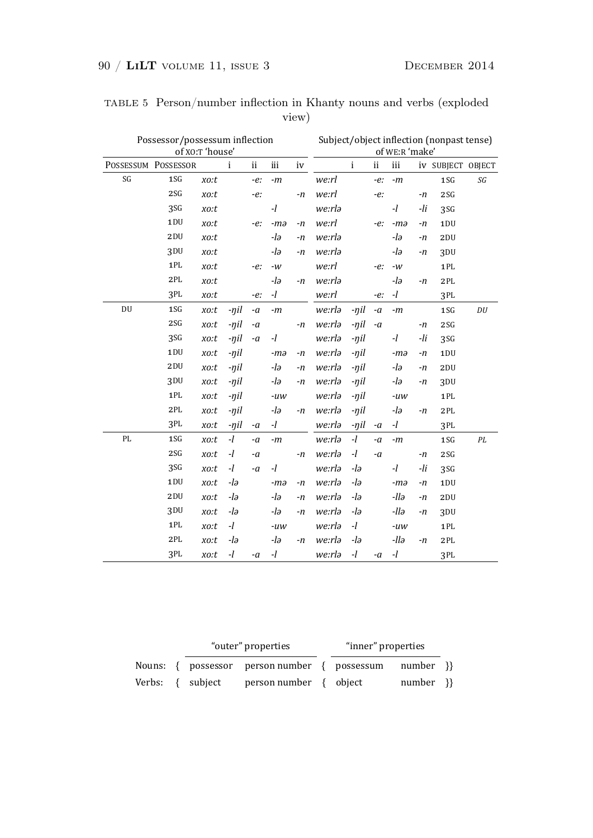| Possessor/possessum inflection<br>of XO:T 'house' |                 |      |            |        |       |      |        | Subject/object inflection (nonpast tense)<br>of WE:R 'make' |         |       |     |                   |                             |  |
|---------------------------------------------------|-----------------|------|------------|--------|-------|------|--------|-------------------------------------------------------------|---------|-------|-----|-------------------|-----------------------------|--|
| POSSESSUM POSSESSOR                               |                 |      | i          | ii     | iii   | iv   |        | $\mathbf{i}$                                                | $\,$ ii | iii   |     | iv SUBJECT OBJECT |                             |  |
| SG                                                | 1SG             | xo:t |            | $-e$ : | -m    |      | we:rl  |                                                             | $-e$ :  | -m    |     | 1SG               | SG                          |  |
|                                                   | 2S <sub>G</sub> | xo:t |            | $-e$ : |       | $-n$ | we:rl  |                                                             | $-e$ :  |       | -n  | 2S <sub>G</sub>   |                             |  |
|                                                   | 3SG             | xo:t |            |        | $-l$  |      | we:rlə |                                                             |         | $-l$  | -li | 3SG               |                             |  |
|                                                   | 1 <sub>DU</sub> | xo:t |            | -е:    | $-ma$ | -n   | we:rl  |                                                             | -е:     | $-ma$ | -n  | 1 <sub>DU</sub>   |                             |  |
|                                                   | 2DU             | xo:t |            |        | -lə   | $-n$ | we:rlə |                                                             |         | $-l∂$ | -n  | 2DU               |                             |  |
|                                                   | 3 <sub>DU</sub> | xo:t |            |        | -lə   | $-n$ | we:rlə |                                                             |         | -lə   | -n  | 3 <sub>DU</sub>   |                             |  |
|                                                   | 1PL             | xo:t |            | -е:    | $-W$  |      | we:rl  |                                                             | -е:     | $-W$  |     | 1PL               |                             |  |
|                                                   | 2PL             | xo:t |            |        | $-l∂$ | $-n$ | we:rlə |                                                             |         | $-l∂$ | -n  | 2PL               |                             |  |
|                                                   | 3PL             | xo:t |            | -е:    | $-l$  |      | we:rl  |                                                             | $-e$ :  | $-l$  |     | 3PL               |                             |  |
| DU                                                | 1SG             | xo:t | $-\eta$ il | $-a$   | $-m$  |      | we:rlə | $-nil$                                                      | $-a$    | $-m$  |     | 1SG               | $D\ensuremath{\mathcal{U}}$ |  |
|                                                   | 2S <sub>G</sub> | xo:t | $-nil$     | $-a$   |       | $-n$ | we:rlə | $-nil$                                                      | $-a$    |       | -n  | 2S <sub>G</sub>   |                             |  |
|                                                   | 3SG             | xo:t | $-\eta$ il | $-a$   | $-l$  |      | we:rlə | $-nil$                                                      |         | -1    | -li | 3SG               |                             |  |
|                                                   | 1 <sub>DU</sub> | xo:t | $-nil$     |        | $-ma$ | $-n$ | we:rlə | $-nil$                                                      |         | $-ma$ | -n  | 1DU               |                             |  |
|                                                   | 2DU             | xo:t | $-nil$     |        | -lə   | $-n$ | we:rlə | $-nil$                                                      |         | -lə   | -n  | 2DU               |                             |  |
|                                                   | 3 <sub>DU</sub> | xo:t | $-\eta$ il |        | -lə   | $-n$ | we:rlə | $-nil$                                                      |         | -lə   | -n  | 3 <sub>DU</sub>   |                             |  |
|                                                   | 1PL             | xo:t | $-\eta$ il |        | $-uw$ |      | we:rlə | -ŋil                                                        |         | $-uw$ |     | 1PL               |                             |  |
|                                                   | 2PL             | xo:t | $-nil$     |        | -lə   | $-n$ | we:rlə | $-nil$                                                      |         | -lə   | -n  | 2PL               |                             |  |
|                                                   | 3PL             | xo:t | -ŋil       | -a     | $-l$  |      | we:rlə | -ŋil                                                        | $-a$    | $-l$  |     | 3PL               |                             |  |
| PL                                                | 1SG             | xo:t | $-l$       | $-a$   | -m    |      | we:rlə | $-l$                                                        | $-a$    | $-m$  |     | 1SG               | PL                          |  |
|                                                   | 2S <sub>G</sub> | xo:t | $-l$       | $-a$   |       | -n   | we:rlə | $-l$                                                        | $-a$    |       | -n  | 2S <sub>G</sub>   |                             |  |
|                                                   | 3SG             | xo:t | $-l$       | $-a$   | -1    |      | we:rlə | -lə                                                         |         | -1    | -li | 3SG               |                             |  |
|                                                   | 1DU             | xo:t | -lə        |        | $-ma$ | $-n$ | we:rlə | -lə                                                         |         | $-ma$ | -n  | 1 <sub>DU</sub>   |                             |  |
|                                                   | 2DU             | xo:t | -lə        |        | -lə   | $-n$ | we:rlə | -lə                                                         |         | -llə  | -n  | 2DU               |                             |  |
|                                                   | 3 <sub>DU</sub> | xo:t | $-l∂$      |        | -lə   | $-n$ | we:rla | -lə                                                         |         | -llə  | -n  | 3 <sub>DU</sub>   |                             |  |
|                                                   | 1PL             | xo:t | $-l$       |        | $-uw$ |      | we:rlə | $-l$                                                        |         | $-uw$ |     | 1PL               |                             |  |
|                                                   | 2PL             | xo:t | -lə        |        | -lə   | -n   | we:rlə | -lə                                                         |         | -llə  | -n  | 2PL               |                             |  |
|                                                   | 3PL             | xo:t | $-l$       | $-a$   | $-l$  |      | we:rla | $-l$                                                        | $-a$    | $-l$  |     | 3PL               |                             |  |

TABLE 5 Person/number inflection in Khanty nouns and verbs (exploded view) view)

|  | "outer" properties                                     | "inner" properties |             |  |
|--|--------------------------------------------------------|--------------------|-------------|--|
|  | Nouns: { possessor person number { possessum number }} |                    |             |  |
|  |                                                        |                    | $number$ }} |  |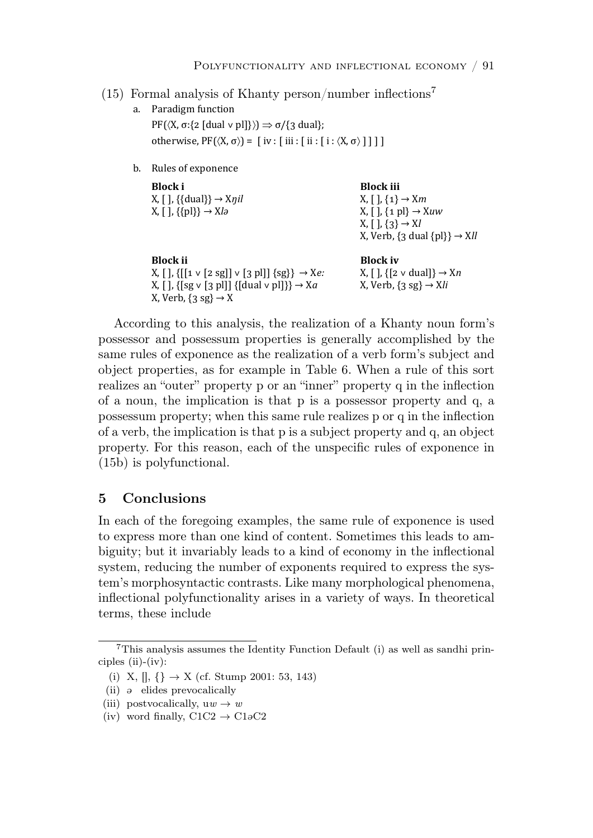# (15) Formal analysis of Khanty person/number inflections<sup>7</sup>

- a. Paradigm function  $PF(\langle X, \sigma: \{2 \mid \text{dual} \vee p\}]\rangle \Rightarrow \sigma/\{3 \text{ dual}\};$ otherwise,  $PF(\langle X, \sigma \rangle) = [iv : [iii : [i : \langle X, \sigma \rangle]]]]$
- b. Rules of exponence

| Block i<br>X, [ ], $\{\{\text{dual}\}\}\rightarrow X\eta$ il<br>$X, [l, \{\{pl\}\} \rightarrow Xlo$                                                                                                 | <b>Block</b> iii<br>$X, [$ , $\{1\} \rightarrow Xm$<br>$X, [$ , $\{1\}$ $\rightarrow$ Xuw<br>$X, [1, {3} \rightarrow X]$<br>X, Verb, $\{3 \text{ dual } \{pl\}\}\rightarrow$ XII |
|-----------------------------------------------------------------------------------------------------------------------------------------------------------------------------------------------------|----------------------------------------------------------------------------------------------------------------------------------------------------------------------------------|
| <b>Block</b> ii<br>X, [ ], {[[1 ∨ [2 sg]] ∨ [3 pl]] {sg}} $\rightarrow$ Xe:<br>X, [], {[sg $\vee$ [3 pl]] {[dual $\vee$ pl]}} $\rightarrow$ X <i>a</i><br>X, Verb, $\{3 \text{ sg}\} \rightarrow X$ | <b>Block iv</b><br>X, [ ], $\{ [ 2 \vee \text{dual}] \} \rightarrow Xn$<br>X, Verb, $\{3 \text{ sg}\} \rightarrow \text{X}li$                                                    |

According to this analysis, the realization of a Khanty noun form's possessor and possessum properties is generally accomplished by the  $\frac{1}{1}$  f  $\frac{1}{1}$  i  $\frac{1}{1}$  f  $\frac{1}{1}$  f  $\frac{1}{1}$ same rules of exponence as the realization of a verb form's subject and ǡǡǢ object properties, as for example in Table 6. When a rule of this sort realizes an "outer" property p or an "inner" property q in the inflection of a noun, the implication is that p is a possessor property and q, a  $\frac{1}{2}$  and  $\frac{1}{2}$  possessum property; when this same rule realizes p or q in the inflection of a verb, the implication is that p is a subject property and q, an object property. For this reason, each of the unspecific rules of exponence in (15b) is polyfunctional.

# 5 Conclusions

 system, reducing the number of exponents required to express the system's morphosyntactic contrasts. Like many morphological phenomena, "Osstisus] wslutny stisuslitus suis inflectional polyfunctionality arises in a variety of ways. In theoretical terms, these include ȋȌ ǡ͟͠՜͟*ݻ*͠ In each of the foregoing examples, the same rule of exponence is used to express more than one kind of content. Sometimes this leads to ambiguity; but it invariably leads to a kind of economy in the inflectional

<sup>7</sup>This analysis assumes the Identity Function Default (i) as well as sandhi principles  $(ii)-(iv)$ :

<sup>(</sup>i) X,  $[|, \{\} \rightarrow X \text{ (cf. Stump 2001: 53, 143)}$ 

 $(ii)$   $\theta$  elides prevocalically

<sup>(</sup>iii) postvocalically,  $uw \rightarrow w$ 

<sup>(</sup>iv) word finally,  $C1C2 \rightarrow C10C2$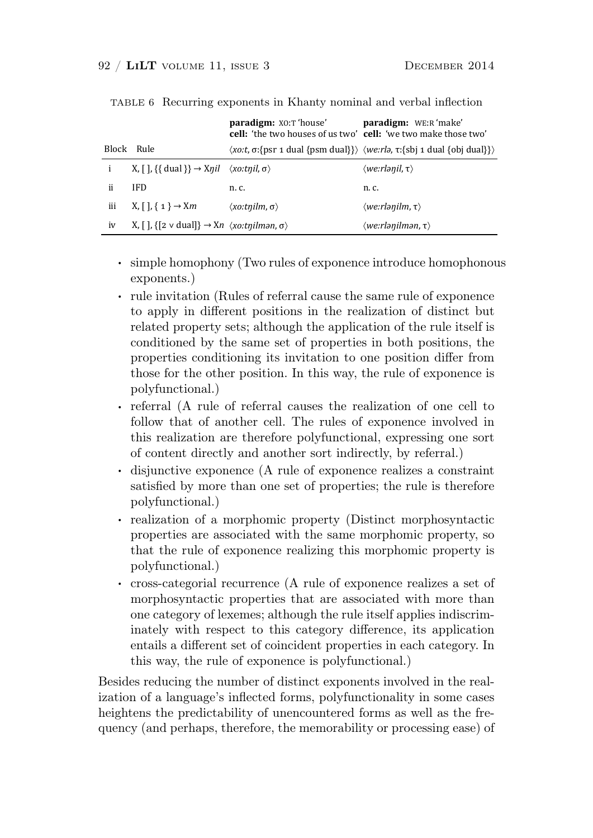|     |                                                                                                                              | <b>paradigm:</b> XO:T 'house'<br><b>cell:</b> 'the two houses of us two' <b>cell:</b> 'we two make those two' | <b>paradigm:</b> WE:R 'make'                                                                                        |
|-----|------------------------------------------------------------------------------------------------------------------------------|---------------------------------------------------------------------------------------------------------------|---------------------------------------------------------------------------------------------------------------------|
|     | Block Rule                                                                                                                   |                                                                                                               | $\langle xo:t, \sigma:$ {psr 1 dual {psm dual}} $\rangle$ $\langle we:rlo, \tau:$ {sbj 1 dual {obj dual}} $\rangle$ |
|     | X, [ ], {{ dual }} $\rightarrow$ Xnil $\langle xo:tnil, \sigma \rangle$                                                      |                                                                                                               | $\langle we\hspace{0.025cm}r$ lənil, $\tau\rangle$                                                                  |
| ii  | <b>IFD</b>                                                                                                                   | n. c.                                                                                                         | n. c.                                                                                                               |
| iii | $X, [\ ], \{ 1 \} \rightarrow Xm$                                                                                            | $\langle$ xo:t $\eta$ ilm, $\sigma \rangle$                                                                   | $\langle we:rlanilm,\tau\rangle$                                                                                    |
| iv  | X, $\lceil \cdot \rceil$ , $\lceil 2 \vee \text{dual} \rceil$ $\rightarrow$ Xn $\langle \text{xo:trilinear}, \sigma \rangle$ |                                                                                                               | $\langle we\!\!:\!\!rlanilman,\tau\rangle$                                                                          |

TABLE 6 Recurring exponents in Khanty nominal and verbal inflection

- exponents.)  $\alpha$  ponents.) . simple homophony (Two rules of exponence introduce homophonous
- exponents.)<br>
 rule invitation (Rules of referral cause the same rule of exponence to enply in different positions in the respection of to apply in different positions in the realization of distinct but • **simple homogeneous**  $\mathbf{r} = \mathbf{r} \cdot \mathbf{r} \cdot \mathbf{r} \cdot \mathbf{r} \cdot \mathbf{r} \cdot \mathbf{r} \cdot \mathbf{r} \cdot \mathbf{r} \cdot \mathbf{r} \cdot \mathbf{r} \cdot \mathbf{r} \cdot \mathbf{r} \cdot \mathbf{r} \cdot \mathbf{r} \cdot \mathbf{r} \cdot \mathbf{r} \cdot \mathbf{r} \cdot \mathbf{r} \cdot \mathbf{r} \cdot \mathbf{r} \cdot \mathbf{r} \cdot \mathbf{r} \cdot \mathbf{r} \cdot \mathbf{r} \$ conditioned by the same set of properties in both positions, the Ǣ properties conditioning its invitation to one position differ from those for the other position In this way the rule of expone those for the other position. In this way, the rule of exponence is polyfunctional.) related property sets; although the application of the rule itself is
	- polyfunctional.)<br>
	 **referral** (A rule of referral causes the realization of one cell to ǡ follow that of another cell. The rules of exponence involved in this realization are therefore polyfunctional, expressing one sort of content directly and another sort indirectly, by referral.)
	- **realization** of  $\frac{1}{2}$  **realization**  $\frac{1}{2}$  **realization**  $\frac{1}{2}$  **realization**  $\frac{1}{2}$  **realization**  $\frac{1}{2}$ of content directly and another sort indirectly, by referral.)<br>
	• disjunctive exponence (A rule of exponence realizes a constraint satisfied by more than one set of properties; the rule is therefore  $rel<sub>1</sub>$ polyfunctional.)
- polyfunctional.)<br>
 realization of a morphomic property (Distinct morphosyntactic men entities are accepted with the same mamberies men enty. properties are associated with the same morphomic property, so that the rule of exponence realizing this morphomic property is polyfunctional.)
- $\epsilon$  cross-categorial recurrence  $(A \text{ rule of}')$  cross-categorial requirements of  $\epsilon$ cross categories rediremed (if the or exponence redikes a set morphosyntactic properties that are associated with more than one category of lexemes; although the rule itself applies indiscriminately with recover to this extensive difference its emplication inately with respect to this category difference, its application ǣ entails a different set of coincident properties in each category. In this way, the rule of exponence is polyfunctional.)  $\frac{1}{1}$  ,  $\frac{1}{1}$  ,  $\frac{1}{1}$  ,  $\frac{1}{1}$  ,  $\frac{1}{1}$  ,  $\frac{1}{1}$  ,  $\frac{1}{1}$  ,  $\frac{1}{1}$  ,  $\frac{1}{1}$  ,  $\frac{1}{1}$  ,  $\frac{1}{1}$  ,  $\frac{1}{1}$  ,  $\frac{1}{1}$  ,  $\frac{1}{1}$  ,  $\frac{1}{1}$  ,  $\frac{1}{1}$  ,  $\frac{1}{1}$  ,  $\frac{1}{1}$  ,  $\frac{1$ polyfunctional.)<br>
cross-categorial recurrence (A rule of exponence realizes a set of

Besides reducing the number of distinct exponents involved in the realization of a language's inflected forms, polyfunctionality in some cases heightens the predictability of unencountered forms as well as the frequency (and perhaps, therefore, the memorability or processing ease) of